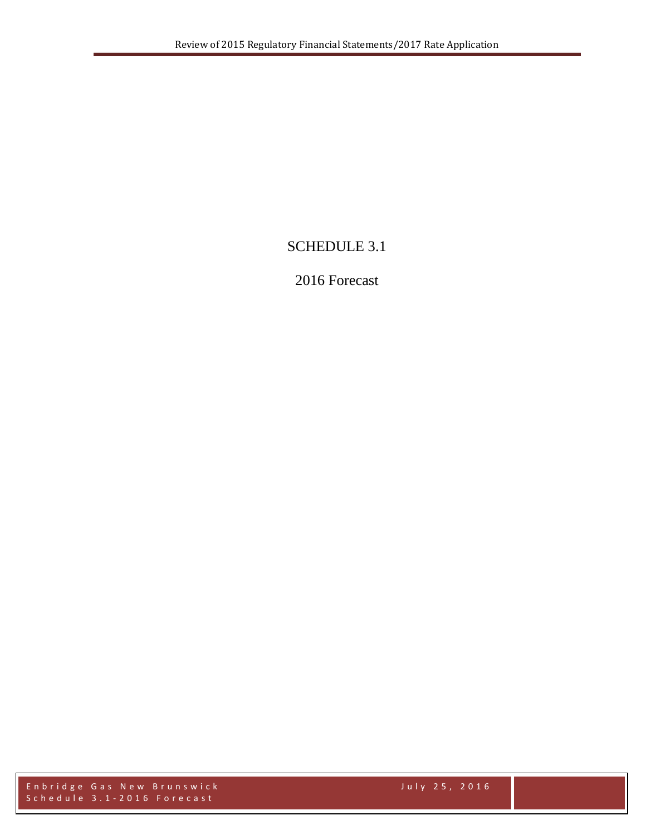# SCHEDULE 3.1

# 2016 Forecast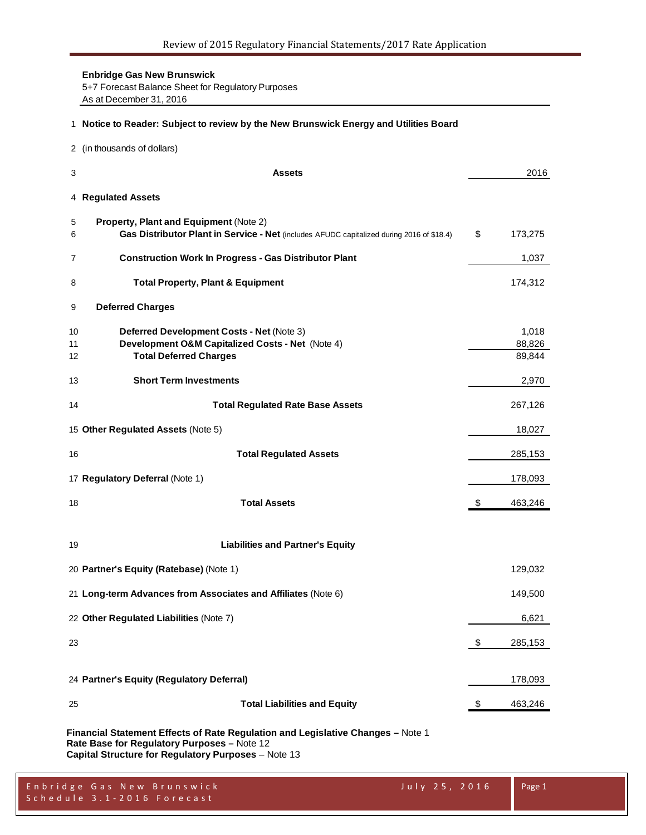**Enbridge Gas New Brunswick** 5+7 Forecast Balance Sheet for Regulatory Purposes As at December 31, 2016

#### **Notice to Reader: Subject to review by the New Brunswick Energy and Utilities Board**

(in thousands of dollars)

| 3              | <b>Assets</b>                                                                                                                              |                         | 2016                      |
|----------------|--------------------------------------------------------------------------------------------------------------------------------------------|-------------------------|---------------------------|
|                | 4 Regulated Assets                                                                                                                         |                         |                           |
| 5<br>6         | <b>Property, Plant and Equipment (Note 2)</b><br>Gas Distributor Plant in Service - Net (includes AFUDC capitalized during 2016 of \$18.4) | \$                      | 173,275                   |
| 7              | <b>Construction Work In Progress - Gas Distributor Plant</b>                                                                               |                         | 1,037                     |
| 8              | <b>Total Property, Plant &amp; Equipment</b>                                                                                               |                         | 174,312                   |
| 9              | <b>Deferred Charges</b>                                                                                                                    |                         |                           |
| 10<br>11<br>12 | Deferred Development Costs - Net (Note 3)<br>Development O&M Capitalized Costs - Net (Note 4)<br><b>Total Deferred Charges</b>             |                         | 1,018<br>88,826<br>89,844 |
| 13             | <b>Short Term Investments</b>                                                                                                              |                         | 2,970                     |
| 14             | <b>Total Regulated Rate Base Assets</b>                                                                                                    |                         | 267,126                   |
|                | 15 Other Regulated Assets (Note 5)                                                                                                         |                         | 18,027                    |
| 16             | <b>Total Regulated Assets</b>                                                                                                              |                         | 285,153                   |
|                | 17 Regulatory Deferral (Note 1)                                                                                                            |                         | 178,093                   |
| 18             | <b>Total Assets</b>                                                                                                                        | $\sqrt[6]{\frac{1}{2}}$ | 463,246                   |
| 19             | <b>Liabilities and Partner's Equity</b>                                                                                                    |                         |                           |
|                | 20 Partner's Equity (Ratebase) (Note 1)                                                                                                    |                         | 129,032                   |
|                | 21 Long-term Advances from Associates and Affiliates (Note 6)                                                                              |                         | 149,500                   |
|                | 22 Other Regulated Liabilities (Note 7)                                                                                                    |                         | 6,621                     |
| 23             |                                                                                                                                            | \$                      | 285,153                   |
|                | 24 Partner's Equity (Regulatory Deferral)                                                                                                  |                         | 178,093                   |
| 25             | <b>Total Liabilities and Equity</b>                                                                                                        | \$                      | 463,246                   |
|                |                                                                                                                                            |                         |                           |

**Financial Statement Effects of Rate Regulation and Legislative Changes –** Note 1 **Rate Base for Regulatory Purposes –** Note 12 **Capital Structure for Regulatory Purposes** – Note 13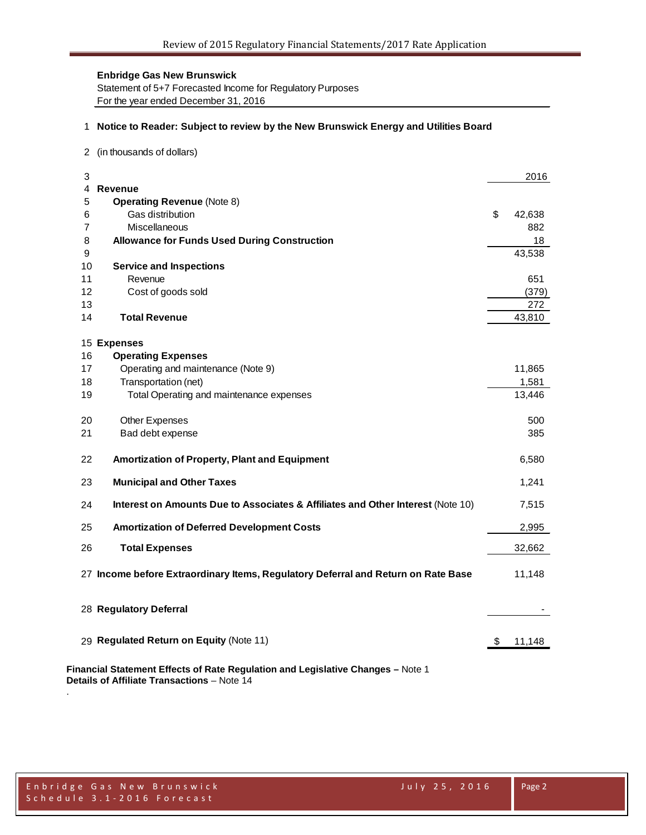Statement of 5+7 Forecasted Income for Regulatory Purposes For the year ended December 31, 2016

#### 1 **Notice to Reader: Subject to review by the New Brunswick Energy and Utilities Board**

2 (in thousands of dollars)

| 3  |                                                                                   | 2016         |
|----|-----------------------------------------------------------------------------------|--------------|
| 4  | <b>Revenue</b>                                                                    |              |
| 5  | <b>Operating Revenue (Note 8)</b>                                                 |              |
| 6  | Gas distribution                                                                  | \$<br>42,638 |
| 7  | Miscellaneous                                                                     | 882          |
| 8  | <b>Allowance for Funds Used During Construction</b>                               | 18           |
| 9  |                                                                                   | 43,538       |
| 10 | <b>Service and Inspections</b>                                                    |              |
| 11 | Revenue                                                                           | 651          |
| 12 | Cost of goods sold                                                                | (379)        |
| 13 |                                                                                   | 272          |
| 14 | <b>Total Revenue</b>                                                              | 43,810       |
|    | 15 Expenses                                                                       |              |
| 16 | <b>Operating Expenses</b>                                                         |              |
| 17 | Operating and maintenance (Note 9)                                                | 11,865       |
| 18 | Transportation (net)                                                              | 1,581        |
| 19 | Total Operating and maintenance expenses                                          | 13,446       |
| 20 | Other Expenses                                                                    | 500          |
| 21 | Bad debt expense                                                                  | 385          |
| 22 | Amortization of Property, Plant and Equipment                                     | 6,580        |
| 23 | <b>Municipal and Other Taxes</b>                                                  | 1,241        |
| 24 | Interest on Amounts Due to Associates & Affiliates and Other Interest (Note 10)   | 7,515        |
| 25 | <b>Amortization of Deferred Development Costs</b>                                 | 2,995        |
| 26 | <b>Total Expenses</b>                                                             | 32,662       |
|    | 27 Income before Extraordinary Items, Regulatory Deferral and Return on Rate Base | 11,148       |
|    | 28 Regulatory Deferral                                                            |              |
|    | 29 Regulated Return on Equity (Note 11)                                           | \$<br>11,148 |
|    |                                                                                   |              |

**Financial Statement Effects of Rate Regulation and Legislative Changes –** Note 1 **Details of Affiliate Transactions** – Note 14

.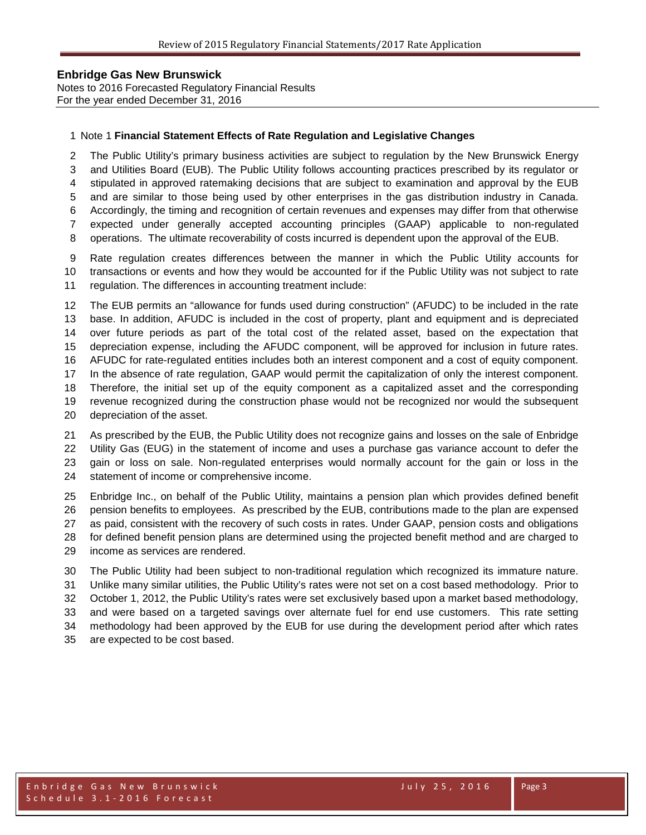Notes to 2016 Forecasted Regulatory Financial Results For the year ended December 31, 2016

#### Note 1 **Financial Statement Effects of Rate Regulation and Legislative Changes**

 The Public Utility's primary business activities are subject to regulation by the New Brunswick Energy and Utilities Board (EUB). The Public Utility follows accounting practices prescribed by its regulator or stipulated in approved ratemaking decisions that are subject to examination and approval by the EUB and are similar to those being used by other enterprises in the gas distribution industry in Canada. Accordingly, the timing and recognition of certain revenues and expenses may differ from that otherwise expected under generally accepted accounting principles (GAAP) applicable to non-regulated operations. The ultimate recoverability of costs incurred is dependent upon the approval of the EUB.

Rate regulation creates differences between the manner in which the Public Utility accounts for

 transactions or events and how they would be accounted for if the Public Utility was not subject to rate regulation. The differences in accounting treatment include:

 The EUB permits an "allowance for funds used during construction" (AFUDC) to be included in the rate base. In addition, AFUDC is included in the cost of property, plant and equipment and is depreciated over future periods as part of the total cost of the related asset, based on the expectation that depreciation expense, including the AFUDC component, will be approved for inclusion in future rates. AFUDC for rate-regulated entities includes both an interest component and a cost of equity component. In the absence of rate regulation, GAAP would permit the capitalization of only the interest component. Therefore, the initial set up of the equity component as a capitalized asset and the corresponding revenue recognized during the construction phase would not be recognized nor would the subsequent depreciation of the asset.

 As prescribed by the EUB, the Public Utility does not recognize gains and losses on the sale of Enbridge Utility Gas (EUG) in the statement of income and uses a purchase gas variance account to defer the gain or loss on sale. Non-regulated enterprises would normally account for the gain or loss in the statement of income or comprehensive income.

 Enbridge Inc., on behalf of the Public Utility, maintains a pension plan which provides defined benefit pension benefits to employees. As prescribed by the EUB, contributions made to the plan are expensed as paid, consistent with the recovery of such costs in rates. Under GAAP, pension costs and obligations for defined benefit pension plans are determined using the projected benefit method and are charged to income as services are rendered.

 The Public Utility had been subject to non-traditional regulation which recognized its immature nature. Unlike many similar utilities, the Public Utility's rates were not set on a cost based methodology. Prior to October 1, 2012, the Public Utility's rates were set exclusively based upon a market based methodology, and were based on a targeted savings over alternate fuel for end use customers. This rate setting methodology had been approved by the EUB for use during the development period after which rates are expected to be cost based.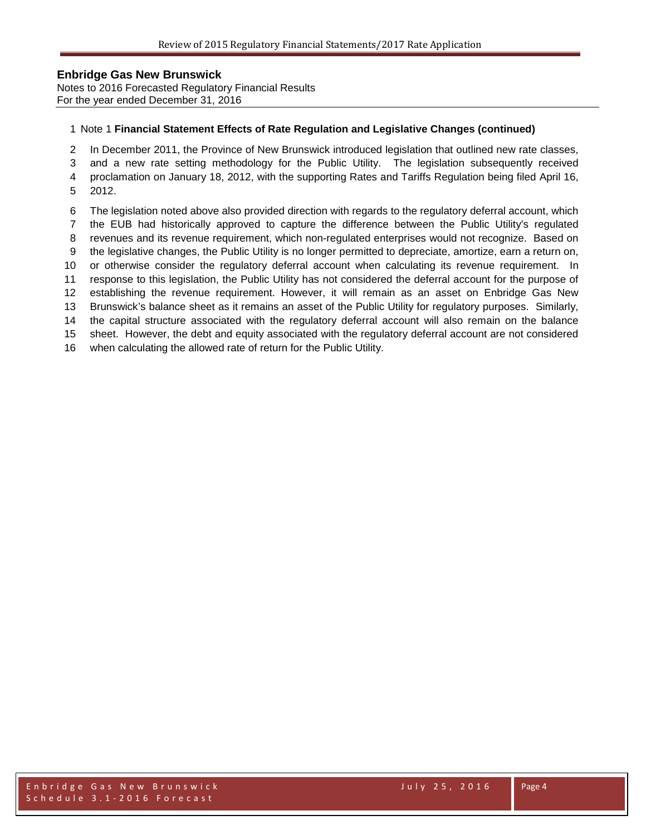Notes to 2016 Forecasted Regulatory Financial Results For the year ended December 31, 2016

#### Note 1 **Financial Statement Effects of Rate Regulation and Legislative Changes (continued)**

In December 2011, the Province of New Brunswick introduced legislation that outlined new rate classes,

and a new rate setting methodology for the Public Utility. The legislation subsequently received

proclamation on January 18, 2012, with the supporting Rates and Tariffs Regulation being filed April 16,

- 2012.
- The legislation noted above also provided direction with regards to the regulatory deferral account, which
- the EUB had historically approved to capture the difference between the Public Utility's regulated
- revenues and its revenue requirement, which non-regulated enterprises would not recognize. Based on
- the legislative changes, the Public Utility is no longer permitted to depreciate, amortize, earn a return on,
- or otherwise consider the regulatory deferral account when calculating its revenue requirement. In
- response to this legislation, the Public Utility has not considered the deferral account for the purpose of
- establishing the revenue requirement. However, it will remain as an asset on Enbridge Gas New Brunswick's balance sheet as it remains an asset of the Public Utility for regulatory purposes. Similarly,
- the capital structure associated with the regulatory deferral account will also remain on the balance

sheet. However, the debt and equity associated with the regulatory deferral account are not considered

when calculating the allowed rate of return for the Public Utility.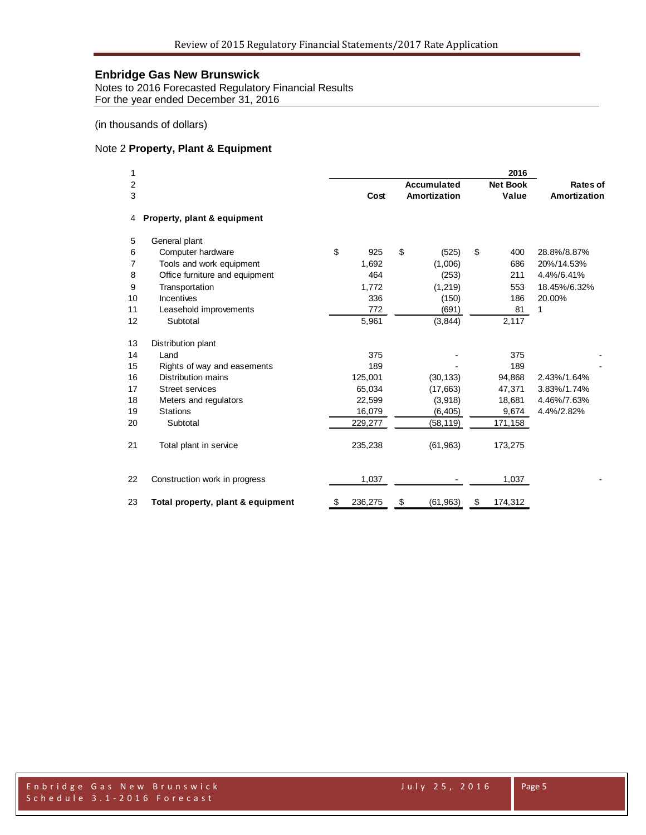Notes to 2016 Forecasted Regulatory Financial Results For the year ended December 31, 2016

(in thousands of dollars)

#### Note 2 **Property, Plant & Equipment**

| 1      |                                   |               |                                    | 2016                     |                          |
|--------|-----------------------------------|---------------|------------------------------------|--------------------------|--------------------------|
| 2<br>3 |                                   | Cost          | <b>Accumulated</b><br>Amortization | <b>Net Book</b><br>Value | Rates of<br>Amortization |
| 4      | Property, plant & equipment       |               |                                    |                          |                          |
|        |                                   |               |                                    |                          |                          |
| 5      | General plant                     |               |                                    |                          |                          |
| 6      | Computer hardware                 | \$<br>925     | \$<br>(525)                        | \$<br>400                | 28.8%/8.87%              |
| 7      | Tools and work equipment          | 1,692         | (1,006)                            | 686                      | 20%/14.53%               |
| 8      | Office furniture and equipment    | 464           | (253)                              | 211                      | 4.4%/6.41%               |
| 9      | Transportation                    | 1,772         | (1, 219)                           | 553                      | 18.45%/6.32%             |
| 10     | Incentives                        | 336           | (150)                              | 186                      | 20.00%                   |
| 11     | Leasehold improvements            | 772           | (691)                              | 81                       | 1                        |
| 12     | Subtotal                          | 5,961         | (3, 844)                           | 2,117                    |                          |
| 13     | Distribution plant                |               |                                    |                          |                          |
| 14     | Land                              | 375           |                                    | 375                      |                          |
| 15     | Rights of way and easements       | 189           |                                    | 189                      |                          |
| 16     | Distribution mains                | 125,001       | (30, 133)                          | 94,868                   | 2.43%/1.64%              |
| 17     | <b>Street services</b>            | 65,034        | (17,663)                           | 47,371                   | 3.83%/1.74%              |
| 18     | Meters and regulators             | 22,599        | (3,918)                            | 18,681                   | 4.46%/7.63%              |
| 19     | <b>Stations</b>                   | 16,079        | (6, 405)                           | 9,674                    | 4.4%/2.82%               |
| 20     | Subtotal                          | 229,277       | (58, 119)                          | 171,158                  |                          |
| 21     | Total plant in service            | 235,238       | (61, 963)                          | 173,275                  |                          |
| 22     | Construction work in progress     | 1,037         |                                    | 1,037                    |                          |
| 23     | Total property, plant & equipment | \$<br>236,275 | \$<br>(61, 963)                    | \$<br>174,312            |                          |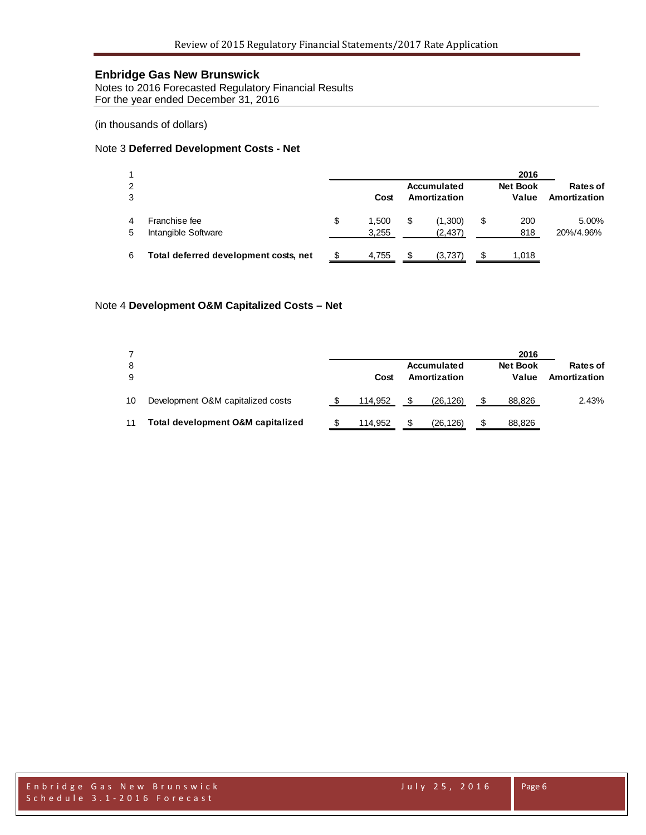Notes to 2016 Forecasted Regulatory Financial Results For the year ended December 31, 2016

(in thousands of dollars)

#### Note 3 **Deferred Development Costs - Net**

|        |                                       |   |                |    |                             | 2016                     |                          |
|--------|---------------------------------------|---|----------------|----|-----------------------------|--------------------------|--------------------------|
| 2<br>3 |                                       |   | Cost           |    | Accumulated<br>Amortization | <b>Net Book</b><br>Value | Rates of<br>Amortization |
| 5      | Franchise fee<br>Intangible Software  | S | 1.500<br>3,255 | \$ | (1,300)<br>(2, 437)         | \$<br>200<br>818         | 5.00%<br>20%/4.96%       |
| 6      | Total deferred development costs, net |   | 4,755          | S  | (3,737)                     | 1.018                    |                          |

#### Note 4 **Development O&M Capitalized Costs – Net**

| 8<br>9 |                                   | Cost    |     | Accumulated<br>Amortization | 2016<br><b>Net Book</b><br>Value | Rates of<br>Amortization |
|--------|-----------------------------------|---------|-----|-----------------------------|----------------------------------|--------------------------|
| 10     | Development O&M capitalized costs | 114.952 | \$. | (26, 126)                   | 88,826                           | 2.43%                    |
| 11     | Total development O&M capitalized | 114.952 | \$. | (26, 126)                   | 88,826                           |                          |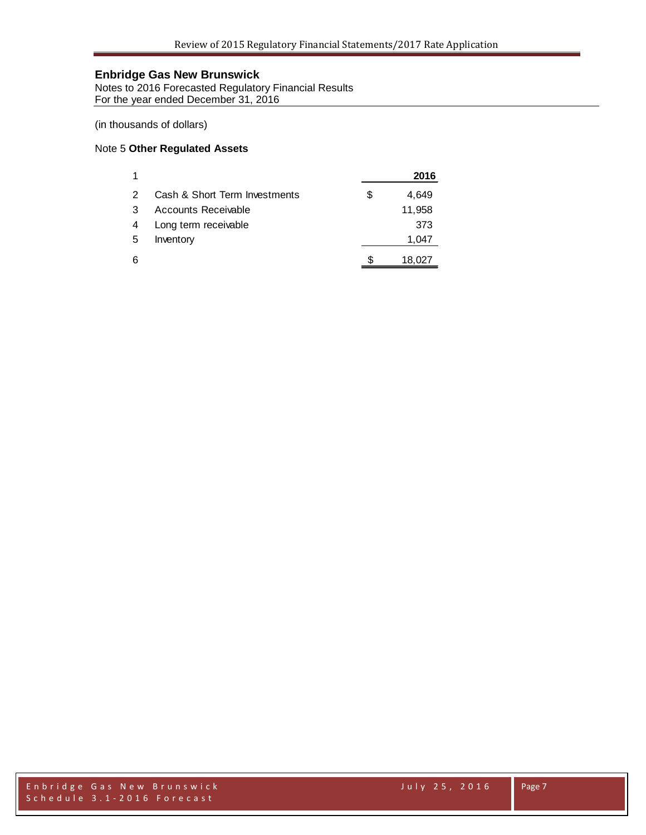Notes to 2016 Forecasted Regulatory Financial Results For the year ended December 31, 2016

(in thousands of dollars)

#### Note 5 **Other Regulated Assets**

| 1 |                               | 2016        |
|---|-------------------------------|-------------|
| 2 | Cash & Short Term Investments | \$<br>4,649 |
| 3 | Accounts Receivable           | 11,958      |
| 4 | Long term receivable          | 373         |
| 5 | Inventory                     | 1,047       |
| 6 |                               | 18,027      |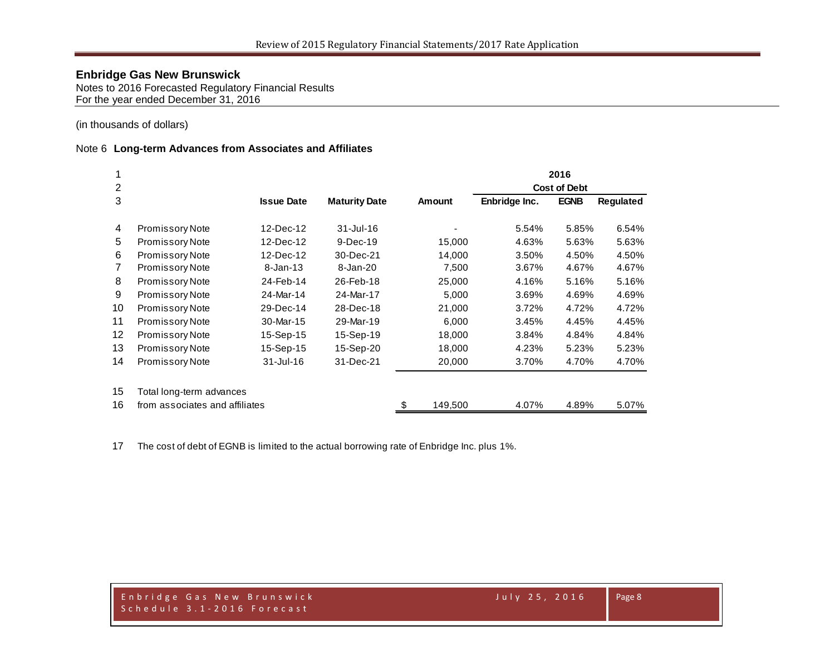Notes to 2016 Forecasted Regulatory Financial Results For the year ended December 31, 2016

(in thousands of dollars)

#### Note 6 **Long-term Advances from Associates and Affiliates**

|                |                                |                   |                      |               |               | 2016                |                  |
|----------------|--------------------------------|-------------------|----------------------|---------------|---------------|---------------------|------------------|
| 2              |                                |                   |                      |               |               | <b>Cost of Debt</b> |                  |
| 3              |                                | <b>Issue Date</b> | <b>Maturity Date</b> | <b>Amount</b> | Enbridge Inc. | <b>EGNB</b>         | <b>Regulated</b> |
| 4              | <b>Promissory Note</b>         | 12-Dec-12         | $31 -$ Jul-16        |               | 5.54%         | 5.85%               | 6.54%            |
| 5              | Promissory Note                | 12-Dec-12         | $9-Dec-19$           | 15,000        | 4.63%         | 5.63%               | 5.63%            |
| 6              | <b>Promissory Note</b>         | 12-Dec-12         | 30-Dec-21            | 14,000        | 3.50%         | 4.50%               | 4.50%            |
| $\overline{7}$ | Promissory Note                | $8 - Jan-13$      | 8-Jan-20             | 7,500         | 3.67%         | 4.67%               | 4.67%            |
| 8              | <b>Promissory Note</b>         | 24-Feb-14         | 26-Feb-18            | 25,000        | 4.16%         | 5.16%               | 5.16%            |
| 9              | Promissory Note                | 24-Mar-14         | 24-Mar-17            | 5,000         | 3.69%         | 4.69%               | 4.69%            |
| 10             | <b>Promissory Note</b>         | 29-Dec-14         | 28-Dec-18            | 21,000        | 3.72%         | 4.72%               | 4.72%            |
| 11             | <b>Promissory Note</b>         | 30-Mar-15         | 29-Mar-19            | 6,000         | 3.45%         | 4.45%               | 4.45%            |
| 12             | <b>Promissory Note</b>         | 15-Sep-15         | 15-Sep-19            | 18,000        | 3.84%         | 4.84%               | 4.84%            |
| 13             | <b>Promissory Note</b>         | 15-Sep-15         | 15-Sep-20            | 18,000        | 4.23%         | 5.23%               | 5.23%            |
| 14             | Promissory Note                | $31 -$ Jul $-16$  | 31-Dec-21            | 20,000        | 3.70%         | 4.70%               | 4.70%            |
| 15             | Total long-term advances       |                   |                      |               |               |                     |                  |
| 16             | from associates and affiliates |                   |                      | \$<br>149,500 | 4.07%         | 4.89%               | 5.07%            |

The cost of debt of EGNB is limited to the actual borrowing rate of Enbridge Inc. plus 1%.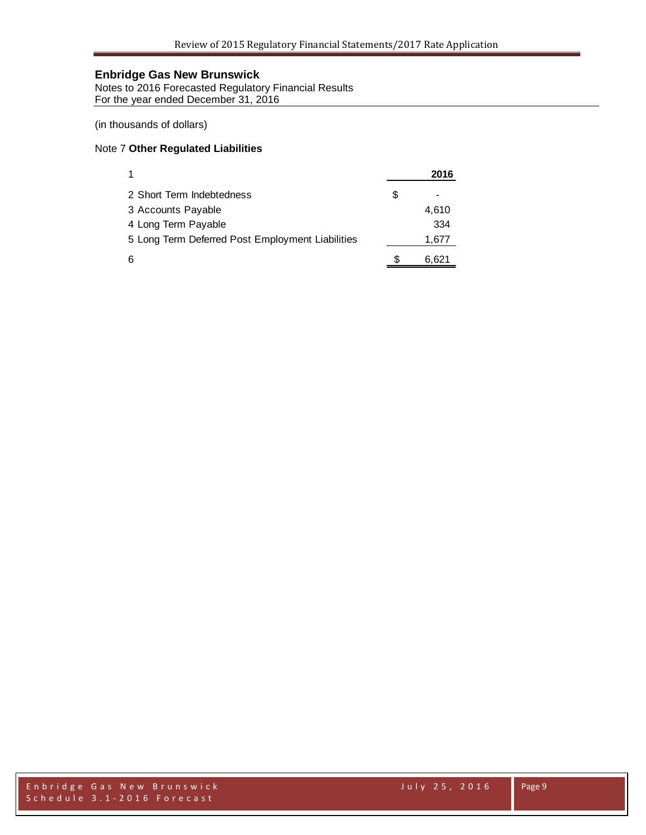Notes to 2016 Forecasted Regulatory Financial Results For the year ended December 31, 2016

(in thousands of dollars)

#### Note 7 **Other Regulated Liabilities**

| 1                                                | 2016  |
|--------------------------------------------------|-------|
| 2 Short Term Indebtedness                        | \$    |
| 3 Accounts Payable                               | 4,610 |
| 4 Long Term Payable                              | 334   |
| 5 Long Term Deferred Post Employment Liabilities | 1,677 |
| 6                                                | 6,621 |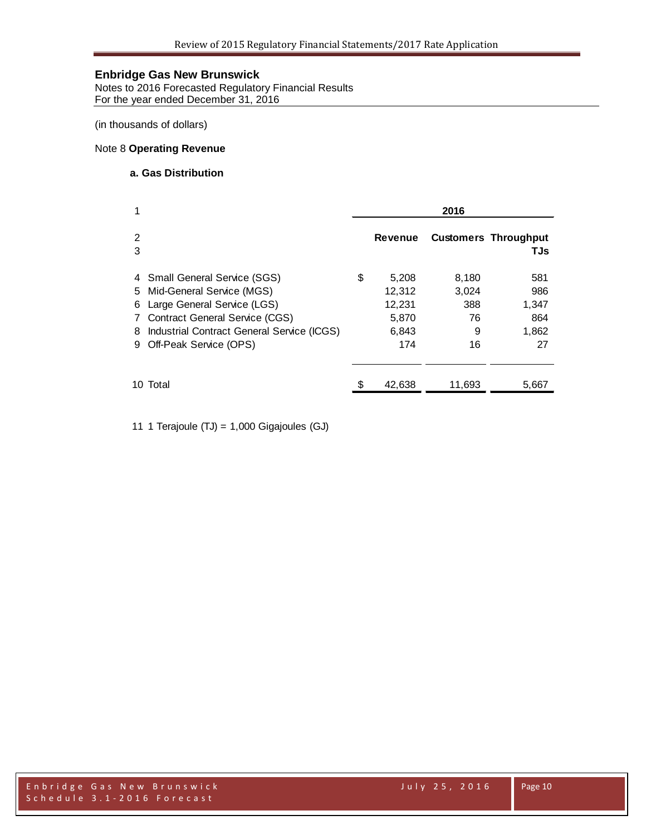Notes to 2016 Forecasted Regulatory Financial Results For the year ended December 31, 2016

(in thousands of dollars)

#### Note 8 **Operating Revenue**

#### **a. Gas Distribution**

| 1                                                                                                                                                                                                                   | 2016 |                                                    |                                        |                                           |  |
|---------------------------------------------------------------------------------------------------------------------------------------------------------------------------------------------------------------------|------|----------------------------------------------------|----------------------------------------|-------------------------------------------|--|
| 2<br>3                                                                                                                                                                                                              |      | Revenue                                            |                                        | <b>Customers Throughput</b><br>TJs        |  |
| 4 Small General Service (SGS)<br>5 Mid-General Service (MGS)<br>Large General Service (LGS)<br>6<br>7 Contract General Service (CGS)<br>Industrial Contract General Service (ICGS)<br>8<br>9 Off-Peak Service (OPS) | \$   | 5,208<br>12,312<br>12,231<br>5,870<br>6,843<br>174 | 8,180<br>3,024<br>388<br>76<br>9<br>16 | 581<br>986<br>1,347<br>864<br>1,862<br>27 |  |
| 10 Total                                                                                                                                                                                                            |      | 42,638                                             | 11,693                                 | 5,667                                     |  |

11 1 Terajoule (TJ) = 1,000 Gigajoules (GJ)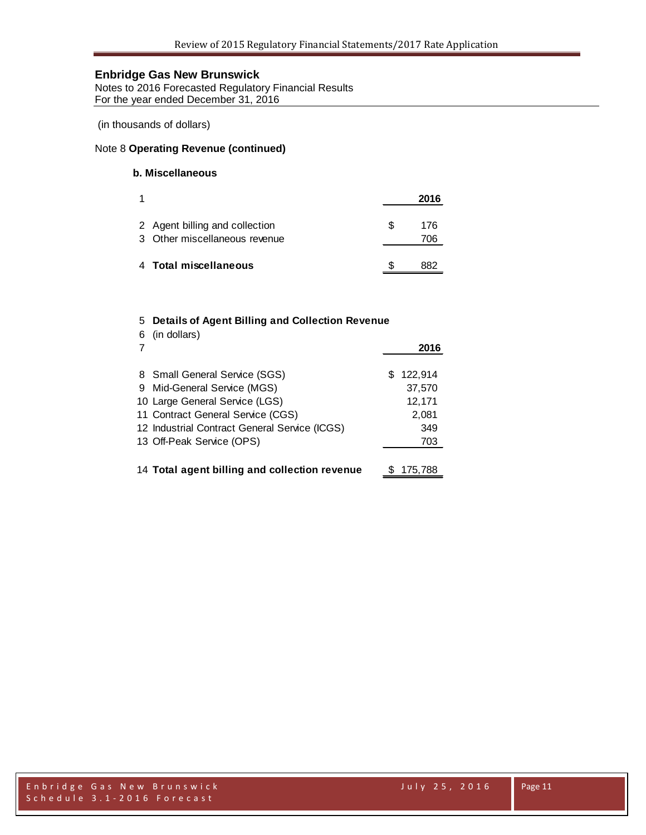Notes to 2016 Forecasted Regulatory Financial Results For the year ended December 31, 2016

(in thousands of dollars)

#### Note 8 **Operating Revenue (continued)**

### **b. Miscellaneous**

|                                                                 |    | 2016       |
|-----------------------------------------------------------------|----|------------|
| 2 Agent billing and collection<br>3 Other miscellaneous revenue | £. | 176<br>706 |
| 4 Total miscellaneous                                           |    | 882        |

#### 5 **Details of Agent Billing and Collection Revenue**

| 6 | (in dollars)                                  | 2016      |
|---|-----------------------------------------------|-----------|
|   | 8 Small General Service (SGS)                 | \$122,914 |
|   | 9 Mid-General Service (MGS)                   | 37,570    |
|   | 10 Large General Service (LGS)                | 12,171    |
|   | 11 Contract General Service (CGS)             | 2,081     |
|   | 12 Industrial Contract General Service (ICGS) | 349       |
|   | 13 Off-Peak Service (OPS)                     | 703       |
|   |                                               |           |
|   | 14 Total agent billing and collection revenue | 175,788   |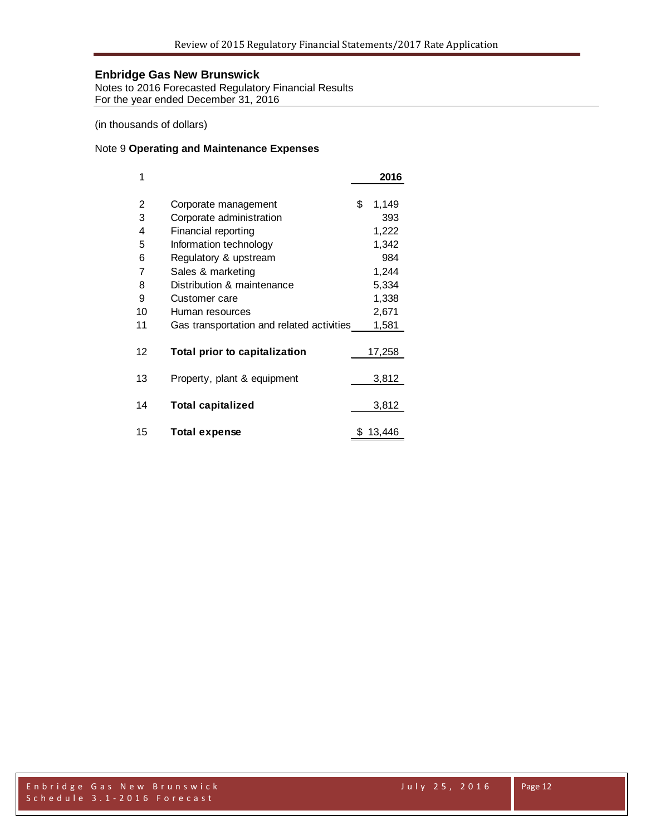Notes to 2016 Forecasted Regulatory Financial Results For the year ended December 31, 2016

(in thousands of dollars)

#### Note 9 **Operating and Maintenance Expenses**

| 1  |                                           | 2016        |
|----|-------------------------------------------|-------------|
|    |                                           |             |
| 2  | Corporate management                      | \$<br>1,149 |
| 3  | Corporate administration                  | 393         |
| 4  | Financial reporting                       | 1,222       |
| 5  | Information technology                    | 1,342       |
| 6  | Regulatory & upstream                     | 984         |
| 7  | Sales & marketing                         | 1,244       |
| 8  | Distribution & maintenance                | 5,334       |
| 9  | Customer care                             | 1,338       |
| 10 | Human resources                           | 2,671       |
| 11 | Gas transportation and related activities | 1,581       |
|    |                                           |             |
| 12 | Total prior to capitalization             | 17,258      |
|    |                                           |             |
| 13 | Property, plant & equipment               | 3,812       |
|    |                                           |             |
| 14 | <b>Total capitalized</b>                  | 3,812       |
|    |                                           |             |
| 15 | Total expense                             | 13,446      |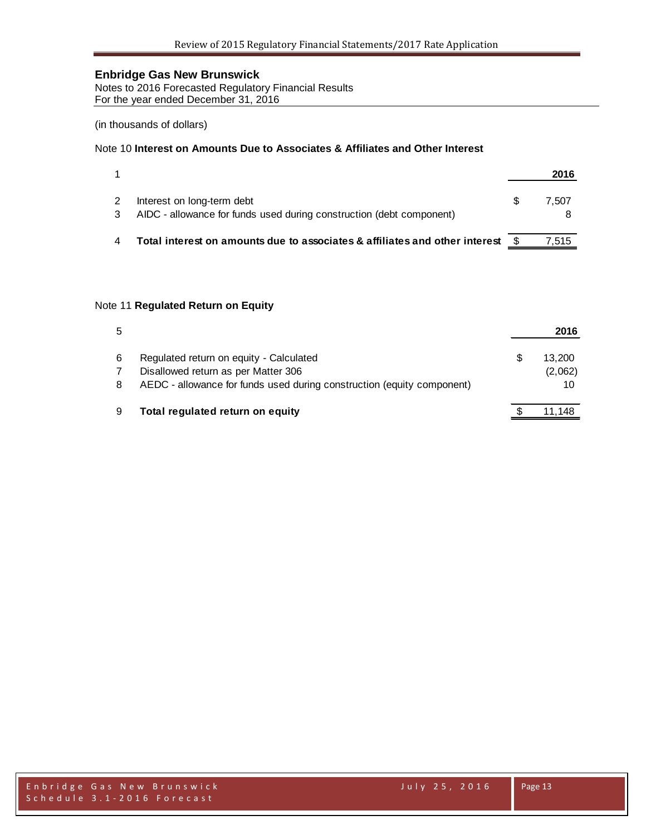Notes to 2016 Forecasted Regulatory Financial Results For the year ended December 31, 2016

(in thousands of dollars)

#### Note 10 **Interest on Amounts Due to Associates & Affiliates and Other Interest**

|                                                                                                    | 2016  |
|----------------------------------------------------------------------------------------------------|-------|
| Interest on long-term debt<br>AIDC - allowance for funds used during construction (debt component) | 7.507 |
| Total interest on amounts due to associates & affiliates and other interest                        | 7.515 |

#### Note 11 **Regulated Return on Equity**

| 5 |                                                                        |   | 2016    |
|---|------------------------------------------------------------------------|---|---------|
| 6 | Regulated return on equity - Calculated                                | S | 13.200  |
|   | Disallowed return as per Matter 306                                    |   | (2,062) |
| 8 | AEDC - allowance for funds used during construction (equity component) |   | 10      |
| 9 | Total regulated return on equity                                       |   | 11.148  |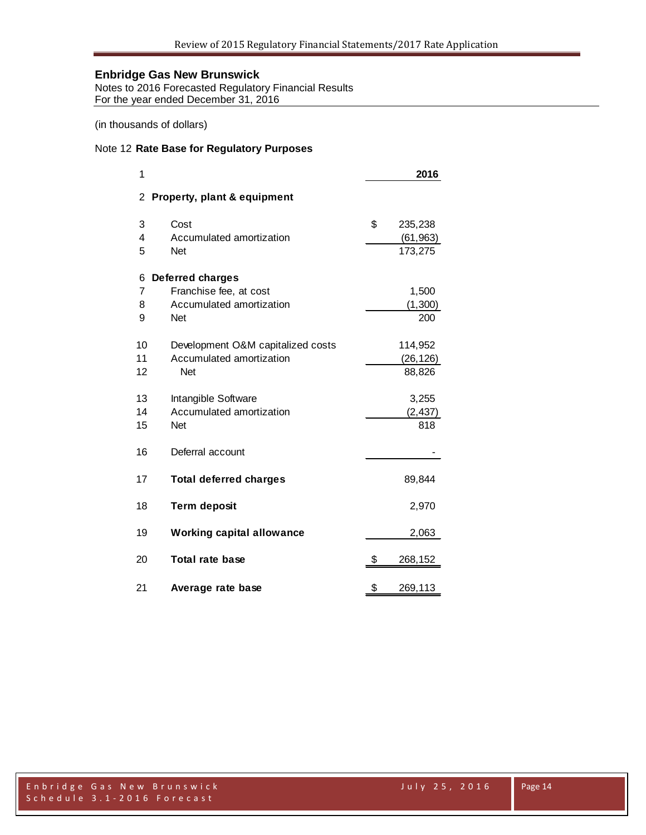Notes to 2016 Forecasted Regulatory Financial Results For the year ended December 31, 2016

(in thousands of dollars)

#### Note 12 **Rate Base for Regulatory Purposes**

| 1  |                                   | 2016          |  |
|----|-----------------------------------|---------------|--|
| 2  | Property, plant & equipment       |               |  |
| 3  | Cost                              | \$<br>235,238 |  |
| 4  | Accumulated amortization          | (61, 963)     |  |
| 5  | <b>Net</b>                        | 173,275       |  |
| 6  | <b>Deferred charges</b>           |               |  |
| 7  | Franchise fee, at cost            | 1,500         |  |
| 8  | Accumulated amortization          | (1, 300)      |  |
| 9  | <b>Net</b>                        | 200           |  |
| 10 | Development O&M capitalized costs | 114,952       |  |
| 11 | Accumulated amortization          | (26, 126)     |  |
| 12 | <b>Net</b>                        | 88,826        |  |
| 13 | Intangible Software               | 3,255         |  |
| 14 | Accumulated amortization          | (2, 437)      |  |
| 15 | Net                               | 818           |  |
| 16 | Deferral account                  |               |  |
| 17 | <b>Total deferred charges</b>     | 89,844        |  |
| 18 | <b>Term deposit</b>               | 2,970         |  |
| 19 | <b>Working capital allowance</b>  | 2,063         |  |
| 20 | <b>Total rate base</b>            | \$<br>268,152 |  |
| 21 | Average rate base                 | \$<br>269,113 |  |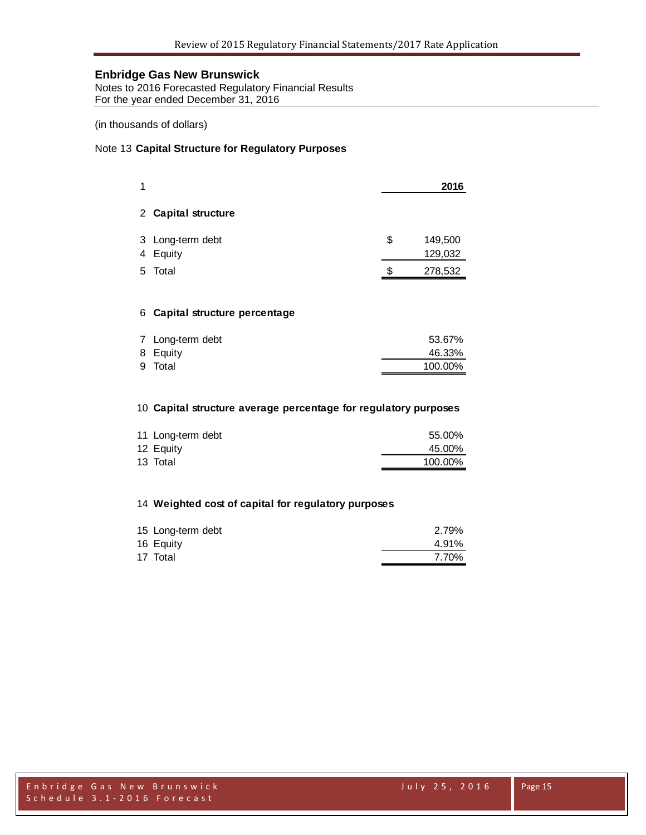Notes to 2016 Forecasted Regulatory Financial Results For the year ended December 31, 2016

(in thousands of dollars)

#### Note 13 **Capital Structure for Regulatory Purposes**

|   |                              |    | 2016               |
|---|------------------------------|----|--------------------|
|   | 2 Capital structure          |    |                    |
| 4 | 3 Long-term debt<br>Equity   | \$ | 149,500<br>129,032 |
| 5 | Total                        | S. | 278,532            |
| 6 | Capital structure percentage |    |                    |

| 7 Long-term debt | 53.67%              |
|------------------|---------------------|
|                  | 46.33%              |
|                  | 100.00%             |
|                  | 8 Equity<br>9 Total |

#### **Capital structure average percentage for regulatory purposes**

| 11 Long-term debt | 55.00%  |
|-------------------|---------|
| 12 Equity         | 45.00%  |
| 13 Total          | 100.00% |

#### **Weighted cost of capital for regulatory purposes**

| 15 Long-term debt | 2.79% |
|-------------------|-------|
| 16 Equity         | 4.91% |
| 17 Total          | 7.70% |